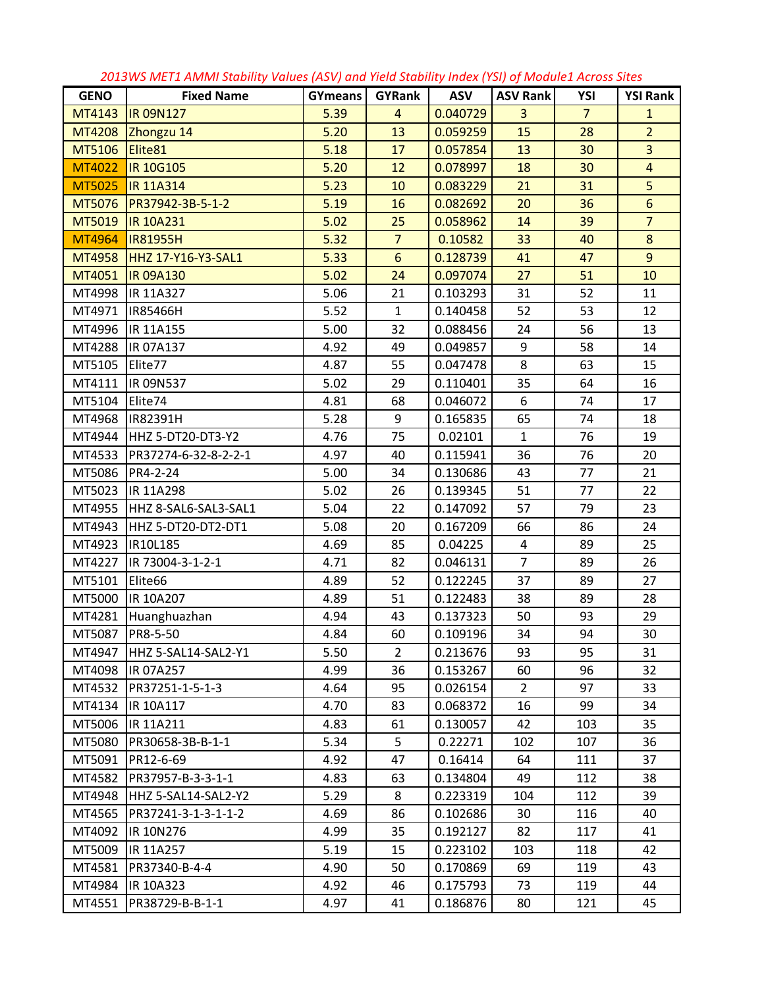|             |                           | $\sim$  | and neva stability | $1.10$ cm, $1.91$ , $0.710$ and $1.610$ cm |                 |                |                 |
|-------------|---------------------------|---------|--------------------|--------------------------------------------|-----------------|----------------|-----------------|
| <b>GENO</b> | <b>Fixed Name</b>         | GYmeans | GYRank             | <b>ASV</b>                                 | <b>ASV Rank</b> | YSI            | <b>YSI Rank</b> |
| MT4143      | <b>IR 09N127</b>          | 5.39    | $\overline{4}$     | 0.040729                                   | $\overline{3}$  | $\overline{7}$ | $\mathbf{1}$    |
| MT4208      | Zhongzu 14                | 5.20    | 13                 | 0.059259                                   | 15              | 28             | $\overline{2}$  |
| MT5106      | Elite81                   | 5.18    | 17                 | 0.057854                                   | 13              | 30             | $\overline{3}$  |
| MT4022      | <b>IR 10G105</b>          | 5.20    | 12                 | 0.078997                                   | 18              | 30             | $\overline{4}$  |
| MT5025      | <b>IR 11A314</b>          | 5.23    | 10                 | 0.083229                                   | 21              | 31             | $\overline{5}$  |
| MT5076      | PR37942-3B-5-1-2          | 5.19    | 16                 | 0.082692                                   | 20              | 36             | $6\overline{6}$ |
| MT5019      | <b>IR 10A231</b>          | 5.02    | 25                 | 0.058962                                   | 14              | 39             | $\overline{7}$  |
| MT4964      | <b>IR81955H</b>           | 5.32    | $\overline{7}$     | 0.10582                                    | 33              | 40             | $\bf 8$         |
| MT4958      | <b>HHZ 17-Y16-Y3-SAL1</b> | 5.33    | $6\phantom{1}$     | 0.128739                                   | 41              | 47             | $\overline{9}$  |
| MT4051      | <b>IR 09A130</b>          | 5.02    | 24                 | 0.097074                                   | 27              | 51             | 10              |
| MT4998      | <b>IR 11A327</b>          | 5.06    | 21                 | 0.103293                                   | 31              | 52             | 11              |
| MT4971      | IR85466H                  | 5.52    | $\mathbf{1}$       | 0.140458                                   | 52              | 53             | 12              |
| MT4996      | IR 11A155                 | 5.00    | 32                 | 0.088456                                   | 24              | 56             | 13              |
| MT4288      | IR 07A137                 | 4.92    | 49                 | 0.049857                                   | 9               | 58             | 14              |
| MT5105      | Elite77                   | 4.87    | 55                 | 0.047478                                   | 8               | 63             | 15              |
| MT4111      | IR 09N537                 | 5.02    | 29                 | 0.110401                                   | 35              | 64             | 16              |
| MT5104      | Elite74                   | 4.81    | 68                 | 0.046072                                   | 6               | 74             | 17              |
| MT4968      | IR82391H                  | 5.28    | 9                  | 0.165835                                   | 65              | 74             | 18              |
| MT4944      | HHZ 5-DT20-DT3-Y2         | 4.76    | 75                 | 0.02101                                    | $\mathbf{1}$    | 76             | 19              |
| MT4533      | PR37274-6-32-8-2-2-1      | 4.97    | 40                 | 0.115941                                   | 36              | 76             | 20              |
| MT5086      | PR4-2-24                  | 5.00    | 34                 | 0.130686                                   | 43              | 77             | 21              |
| MT5023      | <b>IR 11A298</b>          | 5.02    | 26                 | 0.139345                                   | 51              | 77             | 22              |
| MT4955      | HHZ 8-SAL6-SAL3-SAL1      | 5.04    | 22                 | 0.147092                                   | 57              | 79             | 23              |
| MT4943      | HHZ 5-DT20-DT2-DT1        | 5.08    | 20                 | 0.167209                                   | 66              | 86             | 24              |
| MT4923      | IR10L185                  | 4.69    | 85                 | 0.04225                                    | $\overline{4}$  | 89             | 25              |
| MT4227      | IR 73004-3-1-2-1          | 4.71    | 82                 | 0.046131                                   | $\overline{7}$  | 89             | 26              |
| MT5101      | Elite66                   | 4.89    | 52                 | 0.122245                                   | 37              | 89             | 27              |
| MT5000      | IR 10A207                 | 4.89    | 51                 | 0.122483                                   | 38              | 89             | 28              |
| MT4281      | Huanghuazhan              | 4.94    | 43                 | 0.137323                                   | 50              | 93             | 29              |
|             | MT5087 PR8-5-50           | 4.84    | 60                 | 0.109196                                   | 34              | 94             | 30              |
| MT4947      | HHZ 5-SAL14-SAL2-Y1       | 5.50    | $\overline{2}$     | 0.213676                                   | 93              | 95             | 31              |
| MT4098      | IR 07A257                 | 4.99    | 36                 | 0.153267                                   | 60              | 96             | 32              |
| MT4532      | PR37251-1-5-1-3           | 4.64    | 95                 | 0.026154                                   | 2               | 97             | 33              |
| MT4134      | IR 10A117                 | 4.70    | 83                 | 0.068372                                   | 16              | 99             | 34              |
| MT5006      | IR 11A211                 | 4.83    | 61                 | 0.130057                                   | 42              | 103            | 35              |
| MT5080      | PR30658-3B-B-1-1          | 5.34    | 5                  | 0.22271                                    | 102             | 107            | 36              |
| MT5091      | PR12-6-69                 | 4.92    | 47                 | 0.16414                                    | 64              | 111            | 37              |
| MT4582      | PR37957-B-3-3-1-1         | 4.83    | 63                 | 0.134804                                   | 49              | 112            | 38              |
| MT4948      | HHZ 5-SAL14-SAL2-Y2       | 5.29    | 8                  | 0.223319                                   | 104             | 112            | 39              |
| MT4565      | PR37241-3-1-3-1-1-2       | 4.69    | 86                 | 0.102686                                   | 30              | 116            | 40              |
| MT4092      | IR 10N276                 | 4.99    | 35                 | 0.192127                                   | 82              | 117            | 41              |
| MT5009      | IR 11A257                 | 5.19    | 15                 | 0.223102                                   | 103             | 118            | 42              |
| MT4581      | PR37340-B-4-4             | 4.90    | 50                 | 0.170869                                   | 69              | 119            | 43              |
| MT4984      | IR 10A323                 | 4.92    | 46                 | 0.175793                                   | 73              | 119            | 44              |
| MT4551      | PR38729-B-B-1-1           | 4.97    | 41                 | 0.186876                                   | 80              | 121            | 45              |

*2013WS MET1 AMMI Stability Values (ASV) and Yield Stability Index (YSI) of Module1 Across Sites*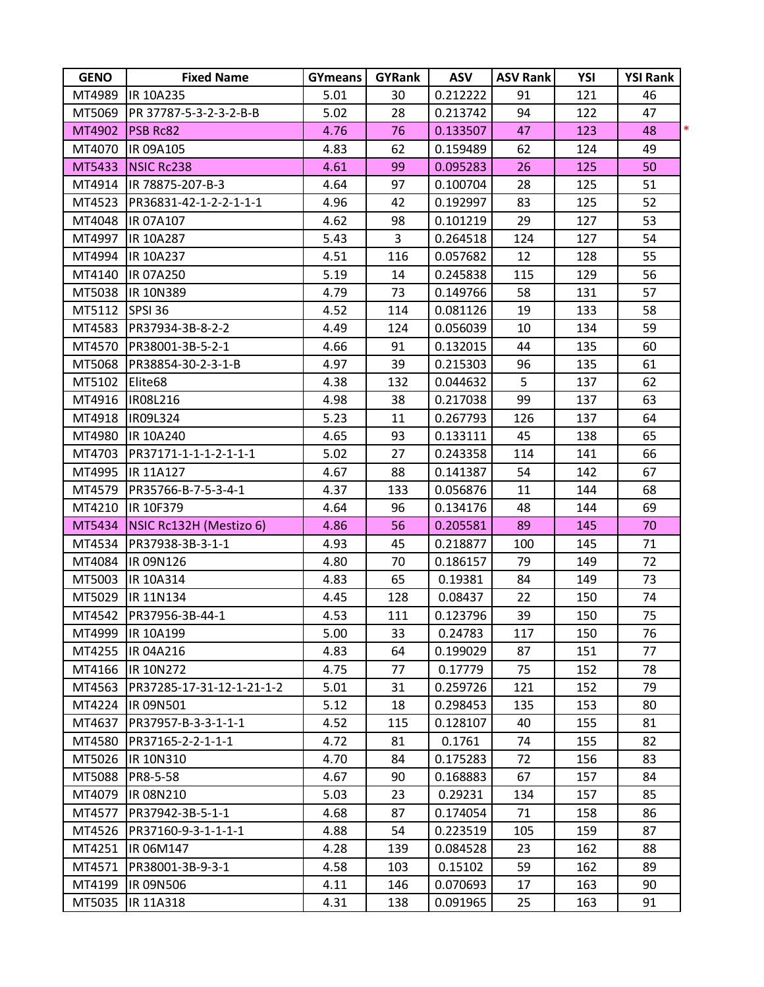| <b>GENO</b> | <b>Fixed Name</b>         | <b>GYmeans</b> | GYRank         | <b>ASV</b> | <b>ASV Rank</b> | YSI | <b>YSI Rank</b> |   |
|-------------|---------------------------|----------------|----------------|------------|-----------------|-----|-----------------|---|
| MT4989      | IR 10A235                 | 5.01           | 30             | 0.212222   | 91              | 121 | 46              |   |
| MT5069      | PR 37787-5-3-2-3-2-B-B    | 5.02           | 28             | 0.213742   | 94              | 122 | 47              |   |
| MT4902      | <b>PSB Rc82</b>           | 4.76           | 76             | 0.133507   | 47              | 123 | 48              | * |
| MT4070      | IR 09A105                 | 4.83           | 62             | 0.159489   | 62              | 124 | 49              |   |
| MT5433      | <b>NSIC Rc238</b>         | 4.61           | 99             | 0.095283   | 26              | 125 | 50              |   |
| MT4914      | IR 78875-207-B-3          | 4.64           | 97             | 0.100704   | 28              | 125 | 51              |   |
| MT4523      | PR36831-42-1-2-2-1-1-1    | 4.96           | 42             | 0.192997   | 83              | 125 | 52              |   |
| MT4048      | IR 07A107                 | 4.62           | 98             | 0.101219   | 29              | 127 | 53              |   |
| MT4997      | IR 10A287                 | 5.43           | $\overline{3}$ | 0.264518   | 124             | 127 | 54              |   |
| MT4994      | IR 10A237                 | 4.51           | 116            | 0.057682   | 12              | 128 | 55              |   |
| MT4140      | IR 07A250                 | 5.19           | 14             | 0.245838   | 115             | 129 | 56              |   |
| MT5038      | IR 10N389                 | 4.79           | 73             | 0.149766   | 58              | 131 | 57              |   |
| MT5112      | SPSI 36                   | 4.52           | 114            | 0.081126   | 19              | 133 | 58              |   |
| MT4583      | PR37934-3B-8-2-2          | 4.49           | 124            | 0.056039   | 10              | 134 | 59              |   |
| MT4570      | PR38001-3B-5-2-1          | 4.66           | 91             | 0.132015   | 44              | 135 | 60              |   |
| MT5068      | PR38854-30-2-3-1-B        | 4.97           | 39             | 0.215303   | 96              | 135 | 61              |   |
| MT5102      | Elite68                   | 4.38           | 132            | 0.044632   | 5               | 137 | 62              |   |
| MT4916      | IR08L216                  | 4.98           | 38             | 0.217038   | 99              | 137 | 63              |   |
| MT4918      | IR09L324                  | 5.23           | 11             | 0.267793   | 126             | 137 | 64              |   |
| MT4980      | IR 10A240                 | 4.65           | 93             | 0.133111   | 45              | 138 | 65              |   |
| MT4703      | PR37171-1-1-1-2-1-1-1     | 5.02           | 27             | 0.243358   | 114             | 141 | 66              |   |
| MT4995      | IR 11A127                 | 4.67           | 88             | 0.141387   | 54              | 142 | 67              |   |
| MT4579      | PR35766-B-7-5-3-4-1       | 4.37           | 133            | 0.056876   | 11              | 144 | 68              |   |
| MT4210      | IR 10F379                 | 4.64           | 96             | 0.134176   | 48              | 144 | 69              |   |
| MT5434      | NSIC Rc132H (Mestizo 6)   | 4.86           | 56             | 0.205581   | 89              | 145 | 70              |   |
| MT4534      | PR37938-3B-3-1-1          | 4.93           | 45             | 0.218877   | 100             | 145 | 71              |   |
| MT4084      | IR 09N126                 | 4.80           | 70             | 0.186157   | 79              | 149 | 72              |   |
| MT5003      | IR 10A314                 | 4.83           | 65             | 0.19381    | 84              | 149 | 73              |   |
| MT5029      | IR 11N134                 | 4.45           | 128            | 0.08437    | 22              | 150 | 74              |   |
| MT4542      | PR37956-3B-44-1           | 4.53           | 111            | 0.123796   | 39              | 150 | 75              |   |
| MT4999      | IR 10A199                 | 5.00           | 33             | 0.24783    | 117             | 150 | 76              |   |
|             | MT4255  IR 04A216         | 4.83           | 64             | 0.199029   | 87              | 151 | 77              |   |
|             | MT4166  IR 10N272         | 4.75           | 77             | 0.17779    | 75              | 152 | 78              |   |
| MT4563      | PR37285-17-31-12-1-21-1-2 | 5.01           | 31             | 0.259726   | 121             | 152 | 79              |   |
| MT4224      | <b>IR 09N501</b>          | 5.12           | 18             | 0.298453   | 135             | 153 | 80              |   |
| MT4637      | PR37957-B-3-3-1-1-1       | 4.52           | 115            | 0.128107   | 40              | 155 | 81              |   |
| MT4580      | PR37165-2-2-1-1-1         | 4.72           | 81             | 0.1761     | 74              | 155 | 82              |   |
| MT5026      | IR 10N310                 | 4.70           | 84             | 0.175283   | 72              | 156 | 83              |   |
| MT5088      | PR8-5-58                  | 4.67           | 90             | 0.168883   | 67              | 157 | 84              |   |
| MT4079      | <b>IR 08N210</b>          | 5.03           | 23             | 0.29231    | 134             | 157 | 85              |   |
| MT4577      | PR37942-3B-5-1-1          | 4.68           | 87             | 0.174054   | 71              | 158 | 86              |   |
| MT4526      | PR37160-9-3-1-1-1-1       | 4.88           | 54             | 0.223519   | 105             | 159 | 87              |   |
| MT4251      | IR 06M147                 | 4.28           | 139            | 0.084528   | 23              | 162 | 88              |   |
| MT4571      | PR38001-3B-9-3-1          | 4.58           | 103            | 0.15102    | 59              | 162 | 89              |   |
| MT4199      | <b>IR 09N506</b>          | 4.11           | 146            | 0.070693   | 17              | 163 | 90              |   |
| MT5035      | IR 11A318                 | 4.31           | 138            | 0.091965   | 25              | 163 | 91              |   |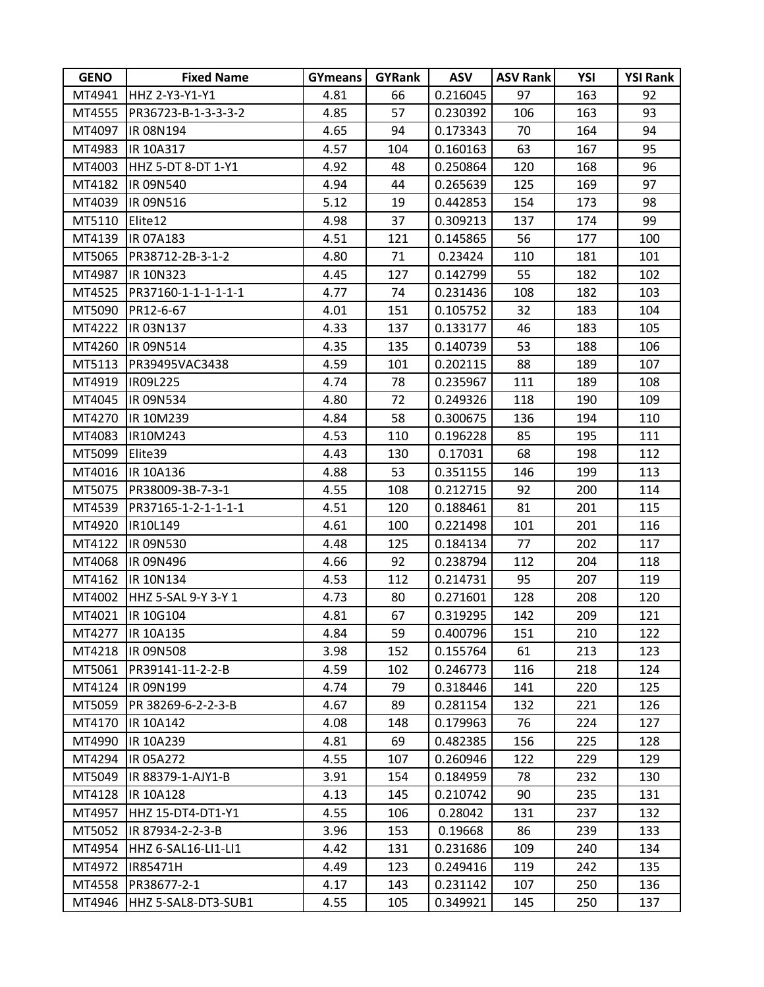| <b>GENO</b> | <b>Fixed Name</b>   | <b>GYmeans</b> | <b>GYRank</b> | <b>ASV</b> | <b>ASV Rank</b> | YSI | <b>YSI Rank</b> |
|-------------|---------------------|----------------|---------------|------------|-----------------|-----|-----------------|
| MT4941      | HHZ 2-Y3-Y1-Y1      | 4.81           | 66            | 0.216045   | 97              | 163 | 92              |
| MT4555      | PR36723-B-1-3-3-3-2 | 4.85           | 57            | 0.230392   | 106             | 163 | 93              |
| MT4097      | IR 08N194           | 4.65           | 94            | 0.173343   | 70              | 164 | 94              |
| MT4983      | IR 10A317           | 4.57           | 104           | 0.160163   | 63              | 167 | 95              |
| MT4003      | HHZ 5-DT 8-DT 1-Y1  | 4.92           | 48            | 0.250864   | 120             | 168 | 96              |
| MT4182      | IR 09N540           | 4.94           | 44            | 0.265639   | 125             | 169 | 97              |
| MT4039      | IR 09N516           | 5.12           | 19            | 0.442853   | 154             | 173 | 98              |
| MT5110      | Elite12             | 4.98           | 37            | 0.309213   | 137             | 174 | 99              |
| MT4139      | IR 07A183           | 4.51           | 121           | 0.145865   | 56              | 177 | 100             |
| MT5065      | PR38712-2B-3-1-2    | 4.80           | 71            | 0.23424    | 110             | 181 | 101             |
| MT4987      | IR 10N323           | 4.45           | 127           | 0.142799   | 55              | 182 | 102             |
| MT4525      | PR37160-1-1-1-1-1-1 | 4.77           | 74            | 0.231436   | 108             | 182 | 103             |
| MT5090      | PR12-6-67           | 4.01           | 151           | 0.105752   | 32              | 183 | 104             |
| MT4222      | <b>IR 03N137</b>    | 4.33           | 137           | 0.133177   | 46              | 183 | 105             |
| MT4260      | IR 09N514           | 4.35           | 135           | 0.140739   | 53              | 188 | 106             |
| MT5113      | PR39495VAC3438      | 4.59           | 101           | 0.202115   | 88              | 189 | 107             |
| MT4919      | IR09L225            | 4.74           | 78            | 0.235967   | 111             | 189 | 108             |
| MT4045      | IR 09N534           | 4.80           | 72            | 0.249326   | 118             | 190 | 109             |
| MT4270      | IR 10M239           | 4.84           | 58            | 0.300675   | 136             | 194 | 110             |
| MT4083      | IR10M243            | 4.53           | 110           | 0.196228   | 85              | 195 | 111             |
| MT5099      | Elite39             | 4.43           | 130           | 0.17031    | 68              | 198 | 112             |
| MT4016      | IR 10A136           | 4.88           | 53            | 0.351155   | 146             | 199 | 113             |
| MT5075      | PR38009-3B-7-3-1    | 4.55           | 108           | 0.212715   | 92              | 200 | 114             |
| MT4539      | PR37165-1-2-1-1-1-1 | 4.51           | 120           | 0.188461   | 81              | 201 | 115             |
| MT4920      | IR10L149            | 4.61           | 100           | 0.221498   | 101             | 201 | 116             |
| MT4122      | IR 09N530           | 4.48           | 125           | 0.184134   | 77              | 202 | 117             |
| MT4068      | IR 09N496           | 4.66           | 92            | 0.238794   | 112             | 204 | 118             |
| MT4162      | IR 10N134           | 4.53           | 112           | 0.214731   | 95              | 207 | 119             |
| MT4002      | HHZ 5-SAL 9-Y 3-Y 1 | 4.73           | 80            | 0.271601   | 128             | 208 | 120             |
| MT4021      | <b>IR 10G104</b>    | 4.81           | 67            | 0.319295   | 142             | 209 | 121             |
| MT4277      | <b>IR 10A135</b>    | 4.84           | 59            | 0.400796   | 151             | 210 | 122             |
| MT4218      | <b>IR 09N508</b>    | 3.98           | 152           | 0.155764   | 61              | 213 | 123             |
| MT5061      | PR39141-11-2-2-B    | 4.59           | 102           | 0.246773   | 116             | 218 | 124             |
| MT4124      | IR 09N199           | 4.74           | 79            | 0.318446   | 141             | 220 | 125             |
| MT5059      | PR 38269-6-2-2-3-B  | 4.67           | 89            | 0.281154   | 132             | 221 | 126             |
| MT4170      | IR 10A142           | 4.08           | 148           | 0.179963   | 76              | 224 | 127             |
| MT4990      | IR 10A239           | 4.81           | 69            | 0.482385   | 156             | 225 | 128             |
| MT4294      | IR 05A272           | 4.55           | 107           | 0.260946   | 122             | 229 | 129             |
| MT5049      | IR 88379-1-AJY1-B   | 3.91           | 154           | 0.184959   | 78              | 232 | 130             |
| MT4128      | IR 10A128           | 4.13           | 145           | 0.210742   | 90              | 235 | 131             |
| MT4957      | HHZ 15-DT4-DT1-Y1   | 4.55           | 106           | 0.28042    | 131             | 237 | 132             |
| MT5052      | IR 87934-2-2-3-B    | 3.96           | 153           | 0.19668    | 86              | 239 | 133             |
| MT4954      | HHZ 6-SAL16-LI1-LI1 | 4.42           | 131           | 0.231686   | 109             | 240 | 134             |
| MT4972      | IR85471H            | 4.49           | 123           | 0.249416   | 119             | 242 | 135             |
| MT4558      | PR38677-2-1         | 4.17           | 143           | 0.231142   | 107             | 250 | 136             |
| MT4946      | HHZ 5-SAL8-DT3-SUB1 | 4.55           | 105           | 0.349921   | 145             | 250 | 137             |